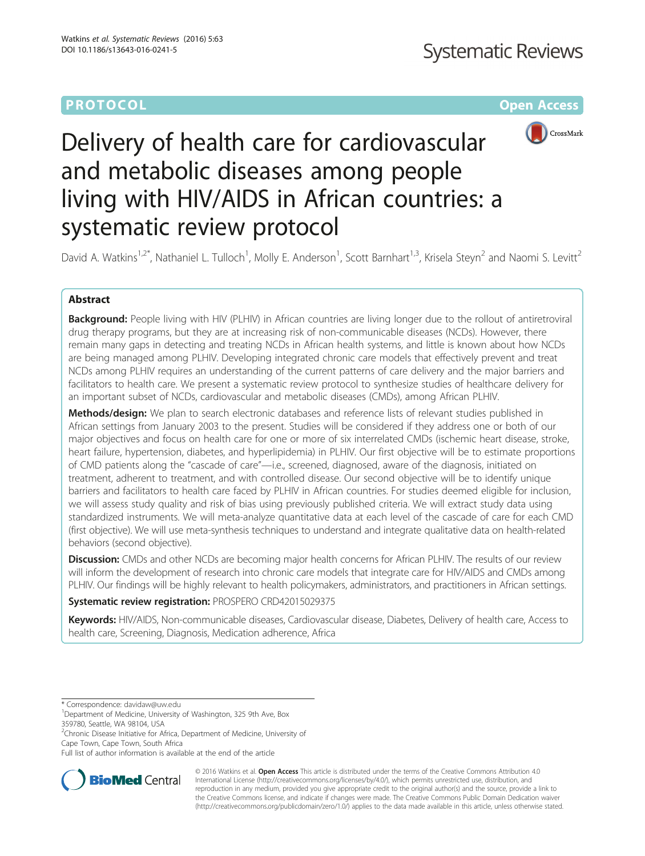# **PROTOCOL CONSUMING THE CONSUMING TEACHER CONSUMING THE CONSUMING TEACHER CONSUMING THE CONSUMING TEACHER CONSUMING**



# Delivery of health care for cardiovascular and metabolic diseases among people living with HIV/AIDS in African countries: a systematic review protocol

David A. Watkins<sup>1,2\*</sup>, Nathaniel L. Tulloch<sup>1</sup>, Molly E. Anderson<sup>1</sup>, Scott Barnhart<sup>1,3</sup>, Krisela Steyn<sup>2</sup> and Naomi S. Levitt<sup>2</sup>

# Abstract

Background: People living with HIV (PLHIV) in African countries are living longer due to the rollout of antiretroviral drug therapy programs, but they are at increasing risk of non-communicable diseases (NCDs). However, there remain many gaps in detecting and treating NCDs in African health systems, and little is known about how NCDs are being managed among PLHIV. Developing integrated chronic care models that effectively prevent and treat NCDs among PLHIV requires an understanding of the current patterns of care delivery and the major barriers and facilitators to health care. We present a systematic review protocol to synthesize studies of healthcare delivery for an important subset of NCDs, cardiovascular and metabolic diseases (CMDs), among African PLHIV.

Methods/design: We plan to search electronic databases and reference lists of relevant studies published in African settings from January 2003 to the present. Studies will be considered if they address one or both of our major objectives and focus on health care for one or more of six interrelated CMDs (ischemic heart disease, stroke, heart failure, hypertension, diabetes, and hyperlipidemia) in PLHIV. Our first objective will be to estimate proportions of CMD patients along the "cascade of care"—i.e., screened, diagnosed, aware of the diagnosis, initiated on treatment, adherent to treatment, and with controlled disease. Our second objective will be to identify unique barriers and facilitators to health care faced by PLHIV in African countries. For studies deemed eligible for inclusion, we will assess study quality and risk of bias using previously published criteria. We will extract study data using standardized instruments. We will meta-analyze quantitative data at each level of the cascade of care for each CMD (first objective). We will use meta-synthesis techniques to understand and integrate qualitative data on health-related behaviors (second objective).

Discussion: CMDs and other NCDs are becoming major health concerns for African PLHIV. The results of our review will inform the development of research into chronic care models that integrate care for HIV/AIDS and CMDs among PLHIV. Our findings will be highly relevant to health policymakers, administrators, and practitioners in African settings.

# Systematic review registration: PROSPERO [CRD42015029375](http://www.crd.york.ac.uk/PROSPERO/display_record.asp?ID=CRD42015029375)

Keywords: HIV/AIDS, Non-communicable diseases, Cardiovascular disease, Diabetes, Delivery of health care, Access to health care, Screening, Diagnosis, Medication adherence, Africa

<sup>2</sup>Chronic Disease Initiative for Africa, Department of Medicine, University of Cape Town, Cape Town, South Africa

Full list of author information is available at the end of the article



© 2016 Watkins et al. Open Access This article is distributed under the terms of the Creative Commons Attribution 4.0 International License [\(http://creativecommons.org/licenses/by/4.0/](http://creativecommons.org/licenses/by/4.0/)), which permits unrestricted use, distribution, and reproduction in any medium, provided you give appropriate credit to the original author(s) and the source, provide a link to the Creative Commons license, and indicate if changes were made. The Creative Commons Public Domain Dedication waiver [\(http://creativecommons.org/publicdomain/zero/1.0/](http://creativecommons.org/publicdomain/zero/1.0/)) applies to the data made available in this article, unless otherwise stated.

<sup>\*</sup> Correspondence: [davidaw@uw.edu](mailto:davidaw@uw.edu) <sup>1</sup>

<sup>&</sup>lt;sup>1</sup>Department of Medicine, University of Washington, 325 9th Ave, Box 359780, Seattle, WA 98104, USA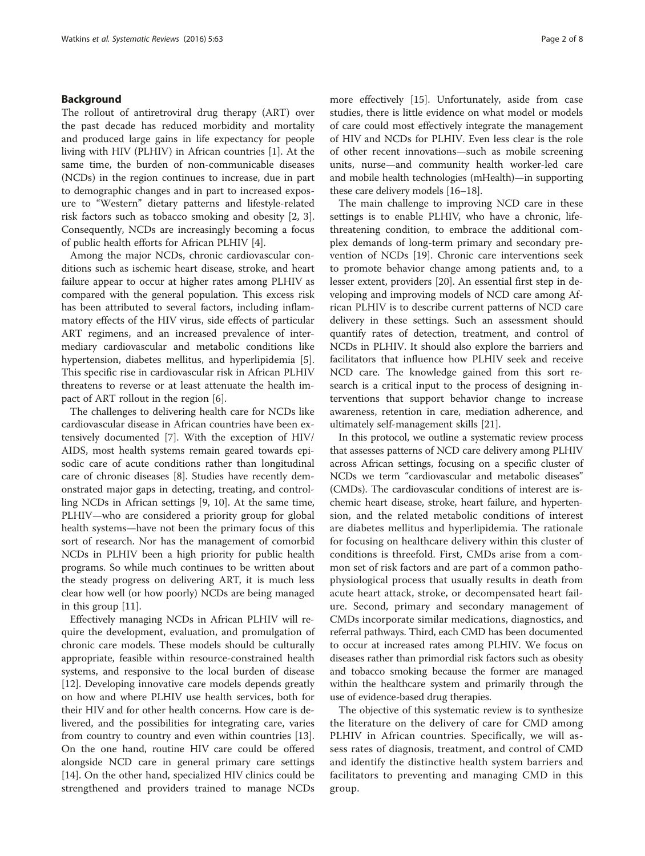## Background

The rollout of antiretroviral drug therapy (ART) over the past decade has reduced morbidity and mortality and produced large gains in life expectancy for people living with HIV (PLHIV) in African countries [\[1\]](#page-6-0). At the same time, the burden of non-communicable diseases (NCDs) in the region continues to increase, due in part to demographic changes and in part to increased exposure to "Western" dietary patterns and lifestyle-related risk factors such as tobacco smoking and obesity [\[2](#page-6-0), [3](#page-6-0)]. Consequently, NCDs are increasingly becoming a focus of public health efforts for African PLHIV [\[4](#page-6-0)].

Among the major NCDs, chronic cardiovascular conditions such as ischemic heart disease, stroke, and heart failure appear to occur at higher rates among PLHIV as compared with the general population. This excess risk has been attributed to several factors, including inflammatory effects of the HIV virus, side effects of particular ART regimens, and an increased prevalence of intermediary cardiovascular and metabolic conditions like hypertension, diabetes mellitus, and hyperlipidemia [\[5](#page-6-0)]. This specific rise in cardiovascular risk in African PLHIV threatens to reverse or at least attenuate the health impact of ART rollout in the region [\[6](#page-6-0)].

The challenges to delivering health care for NCDs like cardiovascular disease in African countries have been extensively documented [\[7\]](#page-7-0). With the exception of HIV/ AIDS, most health systems remain geared towards episodic care of acute conditions rather than longitudinal care of chronic diseases [\[8](#page-7-0)]. Studies have recently demonstrated major gaps in detecting, treating, and controlling NCDs in African settings [[9, 10](#page-7-0)]. At the same time, PLHIV—who are considered a priority group for global health systems—have not been the primary focus of this sort of research. Nor has the management of comorbid NCDs in PLHIV been a high priority for public health programs. So while much continues to be written about the steady progress on delivering ART, it is much less clear how well (or how poorly) NCDs are being managed in this group [[11](#page-7-0)].

Effectively managing NCDs in African PLHIV will require the development, evaluation, and promulgation of chronic care models. These models should be culturally appropriate, feasible within resource-constrained health systems, and responsive to the local burden of disease [[12\]](#page-7-0). Developing innovative care models depends greatly on how and where PLHIV use health services, both for their HIV and for other health concerns. How care is delivered, and the possibilities for integrating care, varies from country to country and even within countries [\[13](#page-7-0)]. On the one hand, routine HIV care could be offered alongside NCD care in general primary care settings [[14\]](#page-7-0). On the other hand, specialized HIV clinics could be strengthened and providers trained to manage NCDs more effectively [\[15](#page-7-0)]. Unfortunately, aside from case studies, there is little evidence on what model or models of care could most effectively integrate the management of HIV and NCDs for PLHIV. Even less clear is the role of other recent innovations—such as mobile screening units, nurse—and community health worker-led care and mobile health technologies (mHealth)—in supporting these care delivery models [\[16](#page-7-0)–[18](#page-7-0)].

The main challenge to improving NCD care in these settings is to enable PLHIV, who have a chronic, lifethreatening condition, to embrace the additional complex demands of long-term primary and secondary prevention of NCDs [[19](#page-7-0)]. Chronic care interventions seek to promote behavior change among patients and, to a lesser extent, providers [\[20\]](#page-7-0). An essential first step in developing and improving models of NCD care among African PLHIV is to describe current patterns of NCD care delivery in these settings. Such an assessment should quantify rates of detection, treatment, and control of NCDs in PLHIV. It should also explore the barriers and facilitators that influence how PLHIV seek and receive NCD care. The knowledge gained from this sort research is a critical input to the process of designing interventions that support behavior change to increase awareness, retention in care, mediation adherence, and ultimately self-management skills [\[21](#page-7-0)].

In this protocol, we outline a systematic review process that assesses patterns of NCD care delivery among PLHIV across African settings, focusing on a specific cluster of NCDs we term "cardiovascular and metabolic diseases" (CMDs). The cardiovascular conditions of interest are ischemic heart disease, stroke, heart failure, and hypertension, and the related metabolic conditions of interest are diabetes mellitus and hyperlipidemia. The rationale for focusing on healthcare delivery within this cluster of conditions is threefold. First, CMDs arise from a common set of risk factors and are part of a common pathophysiological process that usually results in death from acute heart attack, stroke, or decompensated heart failure. Second, primary and secondary management of CMDs incorporate similar medications, diagnostics, and referral pathways. Third, each CMD has been documented to occur at increased rates among PLHIV. We focus on diseases rather than primordial risk factors such as obesity and tobacco smoking because the former are managed within the healthcare system and primarily through the use of evidence-based drug therapies.

The objective of this systematic review is to synthesize the literature on the delivery of care for CMD among PLHIV in African countries. Specifically, we will assess rates of diagnosis, treatment, and control of CMD and identify the distinctive health system barriers and facilitators to preventing and managing CMD in this group.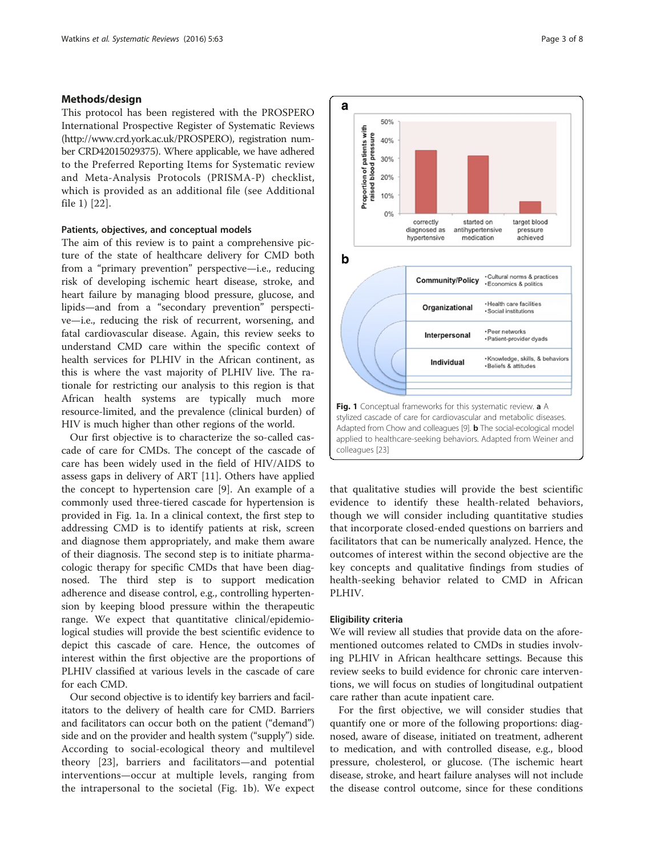## <span id="page-2-0"></span>Methods/design

This protocol has been registered with the PROSPERO International Prospective Register of Systematic Reviews ([http://www.crd.york.ac.uk/PROSPERO\)](http://www.crd.york.ac.uk/PROSPERO), registration number CRD42015029375). Where applicable, we have adhered to the Preferred Reporting Items for Systematic review and Meta-Analysis Protocols (PRISMA-P) checklist, which is provided as an additional file (see Additional file [1\)](#page-6-0) [[22](#page-7-0)].

#### Patients, objectives, and conceptual models

The aim of this review is to paint a comprehensive picture of the state of healthcare delivery for CMD both from a "primary prevention" perspective—i.e., reducing risk of developing ischemic heart disease, stroke, and heart failure by managing blood pressure, glucose, and lipids—and from a "secondary prevention" perspective—i.e., reducing the risk of recurrent, worsening, and fatal cardiovascular disease. Again, this review seeks to understand CMD care within the specific context of health services for PLHIV in the African continent, as this is where the vast majority of PLHIV live. The rationale for restricting our analysis to this region is that African health systems are typically much more resource-limited, and the prevalence (clinical burden) of HIV is much higher than other regions of the world.

Our first objective is to characterize the so-called cascade of care for CMDs. The concept of the cascade of care has been widely used in the field of HIV/AIDS to assess gaps in delivery of ART [\[11](#page-7-0)]. Others have applied the concept to hypertension care [\[9](#page-7-0)]. An example of a commonly used three-tiered cascade for hypertension is provided in Fig. 1a. In a clinical context, the first step to addressing CMD is to identify patients at risk, screen and diagnose them appropriately, and make them aware of their diagnosis. The second step is to initiate pharmacologic therapy for specific CMDs that have been diagnosed. The third step is to support medication adherence and disease control, e.g., controlling hypertension by keeping blood pressure within the therapeutic range. We expect that quantitative clinical/epidemiological studies will provide the best scientific evidence to depict this cascade of care. Hence, the outcomes of interest within the first objective are the proportions of PLHIV classified at various levels in the cascade of care for each CMD.

Our second objective is to identify key barriers and facilitators to the delivery of health care for CMD. Barriers and facilitators can occur both on the patient ("demand") side and on the provider and health system ("supply") side. According to social-ecological theory and multilevel theory [[23\]](#page-7-0), barriers and facilitators—and potential interventions—occur at multiple levels, ranging from the intrapersonal to the societal (Fig. 1b). We expect



that qualitative studies will provide the best scientific evidence to identify these health-related behaviors, though we will consider including quantitative studies that incorporate closed-ended questions on barriers and facilitators that can be numerically analyzed. Hence, the outcomes of interest within the second objective are the key concepts and qualitative findings from studies of health-seeking behavior related to CMD in African PLHIV.

## Eligibility criteria

We will review all studies that provide data on the aforementioned outcomes related to CMDs in studies involving PLHIV in African healthcare settings. Because this review seeks to build evidence for chronic care interventions, we will focus on studies of longitudinal outpatient care rather than acute inpatient care.

For the first objective, we will consider studies that quantify one or more of the following proportions: diagnosed, aware of disease, initiated on treatment, adherent to medication, and with controlled disease, e.g., blood pressure, cholesterol, or glucose. (The ischemic heart disease, stroke, and heart failure analyses will not include the disease control outcome, since for these conditions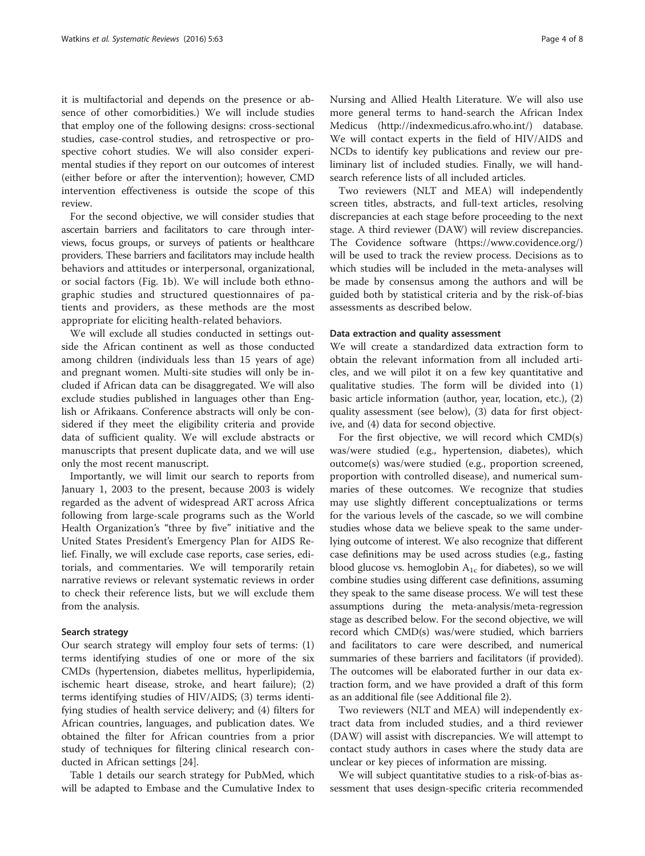it is multifactorial and depends on the presence or absence of other comorbidities.) We will include studies that employ one of the following designs: cross-sectional studies, case-control studies, and retrospective or prospective cohort studies. We will also consider experimental studies if they report on our outcomes of interest (either before or after the intervention); however, CMD intervention effectiveness is outside the scope of this review.

For the second objective, we will consider studies that ascertain barriers and facilitators to care through interviews, focus groups, or surveys of patients or healthcare providers. These barriers and facilitators may include health behaviors and attitudes or interpersonal, organizational, or social factors (Fig. [1b](#page-2-0)). We will include both ethnographic studies and structured questionnaires of patients and providers, as these methods are the most appropriate for eliciting health-related behaviors.

We will exclude all studies conducted in settings outside the African continent as well as those conducted among children (individuals less than 15 years of age) and pregnant women. Multi-site studies will only be included if African data can be disaggregated. We will also exclude studies published in languages other than English or Afrikaans. Conference abstracts will only be considered if they meet the eligibility criteria and provide data of sufficient quality. We will exclude abstracts or manuscripts that present duplicate data, and we will use only the most recent manuscript.

Importantly, we will limit our search to reports from January 1, 2003 to the present, because 2003 is widely regarded as the advent of widespread ART across Africa following from large-scale programs such as the World Health Organization's "three by five" initiative and the United States President's Emergency Plan for AIDS Relief. Finally, we will exclude case reports, case series, editorials, and commentaries. We will temporarily retain narrative reviews or relevant systematic reviews in order to check their reference lists, but we will exclude them from the analysis.

#### Search strategy

Our search strategy will employ four sets of terms: (1) terms identifying studies of one or more of the six CMDs (hypertension, diabetes mellitus, hyperlipidemia, ischemic heart disease, stroke, and heart failure); (2) terms identifying studies of HIV/AIDS; (3) terms identifying studies of health service delivery; and (4) filters for African countries, languages, and publication dates. We obtained the filter for African countries from a prior study of techniques for filtering clinical research conducted in African settings [[24](#page-7-0)].

Table [1](#page-4-0) details our search strategy for PubMed, which will be adapted to Embase and the Cumulative Index to Nursing and Allied Health Literature. We will also use more general terms to hand-search the African Index Medicus ([http://indexmedicus.afro.who.int/\)](http://indexmedicus.afro.who.int/) database. We will contact experts in the field of HIV/AIDS and NCDs to identify key publications and review our preliminary list of included studies. Finally, we will handsearch reference lists of all included articles.

Two reviewers (NLT and MEA) will independently screen titles, abstracts, and full-text articles, resolving discrepancies at each stage before proceeding to the next stage. A third reviewer (DAW) will review discrepancies. The Covidence software [\(https://www.covidence.org/](https://www.covidence.org/)) will be used to track the review process. Decisions as to which studies will be included in the meta-analyses will be made by consensus among the authors and will be guided both by statistical criteria and by the risk-of-bias assessments as described below.

#### Data extraction and quality assessment

We will create a standardized data extraction form to obtain the relevant information from all included articles, and we will pilot it on a few key quantitative and qualitative studies. The form will be divided into (1) basic article information (author, year, location, etc.), (2) quality assessment (see below), (3) data for first objective, and (4) data for second objective.

For the first objective, we will record which CMD(s) was/were studied (e.g., hypertension, diabetes), which outcome(s) was/were studied (e.g., proportion screened, proportion with controlled disease), and numerical summaries of these outcomes. We recognize that studies may use slightly different conceptualizations or terms for the various levels of the cascade, so we will combine studies whose data we believe speak to the same underlying outcome of interest. We also recognize that different case definitions may be used across studies (e.g., fasting blood glucose vs. hemoglobin  $A_{1c}$  for diabetes), so we will combine studies using different case definitions, assuming they speak to the same disease process. We will test these assumptions during the meta-analysis/meta-regression stage as described below. For the second objective, we will record which CMD(s) was/were studied, which barriers and facilitators to care were described, and numerical summaries of these barriers and facilitators (if provided). The outcomes will be elaborated further in our data extraction form, and we have provided a draft of this form as an additional file (see Additional file [2](#page-6-0)).

Two reviewers (NLT and MEA) will independently extract data from included studies, and a third reviewer (DAW) will assist with discrepancies. We will attempt to contact study authors in cases where the study data are unclear or key pieces of information are missing.

We will subject quantitative studies to a risk-of-bias assessment that uses design-specific criteria recommended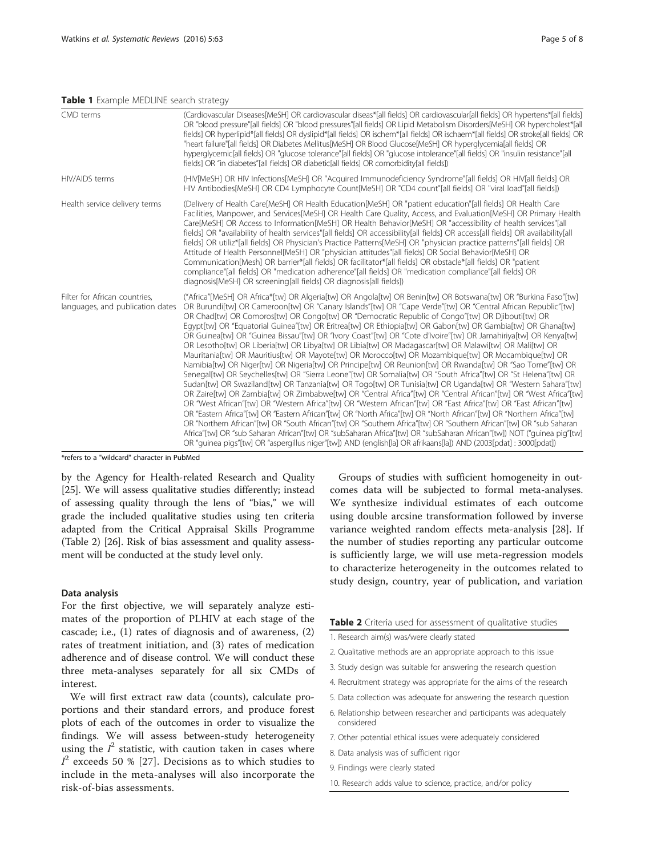## <span id="page-4-0"></span>Table 1 Example MEDLINE search strategy

| CMD terms                                                         | (Cardiovascular Diseases[MeSH] OR cardiovascular diseas*[all fields] OR cardiovascular[all fields] OR hypertens*[all fields]<br>OR "blood pressure"[all fields] OR "blood pressures"[all fields] OR Lipid Metabolism Disorders[MeSH] OR hypercholest*[all<br>fields] OR hyperlipid*[all fields] OR dyslipid*[all fields] OR ischem*[all fields] OR ischaem*[all fields] OR stroke[all fields] OR<br>"heart failure"[all fields] OR Diabetes Mellitus[MeSH] OR Blood Glucose[MeSH] OR hyperglycemia[all fields] OR<br>hyperglycemic[all fields] OR "glucose tolerance"[all fields] OR "glucose intolerance"[all fields] OR "insulin resistance"[all<br>fields] OR "in diabetes"[all fields] OR diabetic[all fields] OR comorbidity[all fields])                                                                                                                                                                                                                                                                                                                                                                                                                                                                                                                                                                                                                                                                                                                                                                                                                                                                                                                                                                                                                                                                                                                               |
|-------------------------------------------------------------------|------------------------------------------------------------------------------------------------------------------------------------------------------------------------------------------------------------------------------------------------------------------------------------------------------------------------------------------------------------------------------------------------------------------------------------------------------------------------------------------------------------------------------------------------------------------------------------------------------------------------------------------------------------------------------------------------------------------------------------------------------------------------------------------------------------------------------------------------------------------------------------------------------------------------------------------------------------------------------------------------------------------------------------------------------------------------------------------------------------------------------------------------------------------------------------------------------------------------------------------------------------------------------------------------------------------------------------------------------------------------------------------------------------------------------------------------------------------------------------------------------------------------------------------------------------------------------------------------------------------------------------------------------------------------------------------------------------------------------------------------------------------------------------------------------------------------------------------------------------------------------|
| HIV/AIDS terms                                                    | (HIV[MeSH] OR HIV Infections[MeSH] OR "Acquired Immunodeficiency Syndrome"[all fields] OR HIV[all fields] OR<br>HIV Antibodies [MeSH] OR CD4 Lymphocyte Count [MeSH] OR "CD4 count" [all fields] OR "viral load" [all fields])                                                                                                                                                                                                                                                                                                                                                                                                                                                                                                                                                                                                                                                                                                                                                                                                                                                                                                                                                                                                                                                                                                                                                                                                                                                                                                                                                                                                                                                                                                                                                                                                                                               |
| Health service delivery terms                                     | (Delivery of Health Care[MeSH] OR Health Education[MeSH] OR "patient education"[all fields] OR Health Care<br>Facilities, Manpower, and Services [MeSH] OR Health Care Quality, Access, and Evaluation [MeSH] OR Primary Health<br>Care[MeSH] OR Access to Information[MeSH] OR Health Behavior[MeSH] OR "accessibility of health services"[all<br>fields] OR "availability of health services"[all fields] OR accessibility[all fields] OR access[all fields] OR availability[all<br>fields] OR utiliz*[all fields] OR Physician's Practice Patterns[MeSH] OR "physician practice patterns"[all fields] OR<br>Attitude of Health Personnel [MeSH] OR "physician attitudes" [all fields] OR Social Behavior [MeSH] OR<br>Communication[Mesh] OR barrier*[all fields] OR facilitator*[all fields] OR obstacle*[all fields] OR "patient<br>compliance"[all fields] OR "medication adherence"[all fields] OR "medication compliance"[all fields] OR<br>diagnosis[MeSH] OR screening[all fields] OR diagnosis[all fields])                                                                                                                                                                                                                                                                                                                                                                                                                                                                                                                                                                                                                                                                                                                                                                                                                                                       |
| Filter for African countries,<br>languages, and publication dates | ("Africa"[MeSH] OR Africa*[tw] OR Algeria[tw] OR Angola[tw] OR Benin[tw] OR Botswana[tw] OR "Burkina Faso"[tw]<br>OR Burundi[tw] OR Cameroon[tw] OR "Canary Islands"[tw] OR "Cape Verde"[tw] OR "Central African Republic"[tw]<br>OR Chad[tw] OR Comoros[tw] OR Congo[tw] OR "Democratic Republic of Congo"[tw] OR Djibouti[tw] OR<br>Eqypt[tw] OR "Equatorial Guinea"[tw] OR Eritrea[tw] OR Ethiopia[tw] OR Gabon[tw] OR Gambia[tw] OR Ghana[tw]<br>OR Guinea[tw] OR "Guinea Bissau"[tw] OR "Ivory Coast"[tw] OR "Cote d'Ivoire"[tw] OR Jamahiriya[tw] OR Kenya[tw]<br>OR Lesotho[tw] OR Liberia[tw] OR Libya[tw] OR Libia[tw] OR Madagascar[tw] OR Malawi[tw] OR Mali[tw] OR<br>Mauritania[tw] OR Mauritius[tw] OR Mayote[tw] OR Morocco[tw] OR Mozambique[tw] OR Mocambique[tw] OR<br>Namibia[tw] OR Niger[tw] OR Nigeria[tw] OR Principe[tw] OR Reunion[tw] OR Rwanda[tw] OR "Sao Tome"[tw] OR<br>Senegal[tw] OR Seychelles[tw] OR "Sierra Leone"[tw] OR Somalia[tw] OR "South Africa"[tw] OR "St Helena"[tw] OR<br>Sudan[tw] OR Swaziland[tw] OR Tanzania[tw] OR Togo[tw] OR Tunisia[tw] OR Uganda[tw] OR "Western Sahara"[tw]<br>OR Zaire[tw] OR Zambia[tw] OR Zimbabwe[tw] OR "Central Africa"[tw] OR "Central African"[tw] OR "West Africa"[tw]<br>OR "West African"[tw] OR "Western Africa"[tw] OR "Western African"[tw] OR "East Africa"[tw] OR "East African"[tw]<br>OR "Eastern Africa"[tw] OR "Eastern African"[tw] OR "North Africa"[tw] OR "North African"[tw] OR "Northern Africa"[tw]<br>OR "Northern African"[tw] OR "South African"[tw] OR "Southern Africa"[tw] OR "Southern African"[tw] OR "sub Saharan<br>Africa"[tw] OR "sub Saharan African"[tw] OR "subSaharan Africa"[tw] OR "subSaharan African"[tw]) NOT ("quinea piq"[tw]<br>OR "quinea pigs"[tw] OR "aspergillus niger"[tw]) AND (english[la] OR afrikaans[la]) AND (2003[pdat] : 3000[pdat]) |

\*refers to a "wildcard" character in PubMed

by the Agency for Health-related Research and Quality [[25](#page-7-0)]. We will assess qualitative studies differently; instead of assessing quality through the lens of "bias," we will grade the included qualitative studies using ten criteria adapted from the Critical Appraisal Skills Programme (Table 2) [\[26\]](#page-7-0). Risk of bias assessment and quality assessment will be conducted at the study level only.

#### Data analysis

For the first objective, we will separately analyze estimates of the proportion of PLHIV at each stage of the cascade; i.e., (1) rates of diagnosis and of awareness, (2) rates of treatment initiation, and (3) rates of medication adherence and of disease control. We will conduct these three meta-analyses separately for all six CMDs of interest.

We will first extract raw data (counts), calculate proportions and their standard errors, and produce forest plots of each of the outcomes in order to visualize the findings. We will assess between-study heterogeneity using the  $I^2$  statistic, with caution taken in cases where  $I^2$  exceeds 50 % [\[27\]](#page-7-0). Decisions as to which studies to include in the meta-analyses will also incorporate the risk-of-bias assessments.

Groups of studies with sufficient homogeneity in outcomes data will be subjected to formal meta-analyses. We synthesize individual estimates of each outcome using double arcsine transformation followed by inverse variance weighted random effects meta-analysis [[28\]](#page-7-0). If the number of studies reporting any particular outcome is sufficiently large, we will use meta-regression models to characterize heterogeneity in the outcomes related to study design, country, year of publication, and variation

Table 2 Criteria used for assessment of qualitative studies

- 1. Research aim(s) was/were clearly stated
- 2. Qualitative methods are an appropriate approach to this issue
- 3. Study design was suitable for answering the research question
- 4. Recruitment strategy was appropriate for the aims of the research
- 5. Data collection was adequate for answering the research question
- 6. Relationship between researcher and participants was adequately considered
- 7. Other potential ethical issues were adequately considered
- 8. Data analysis was of sufficient rigor
- 9. Findings were clearly stated
- 10. Research adds value to science, practice, and/or policy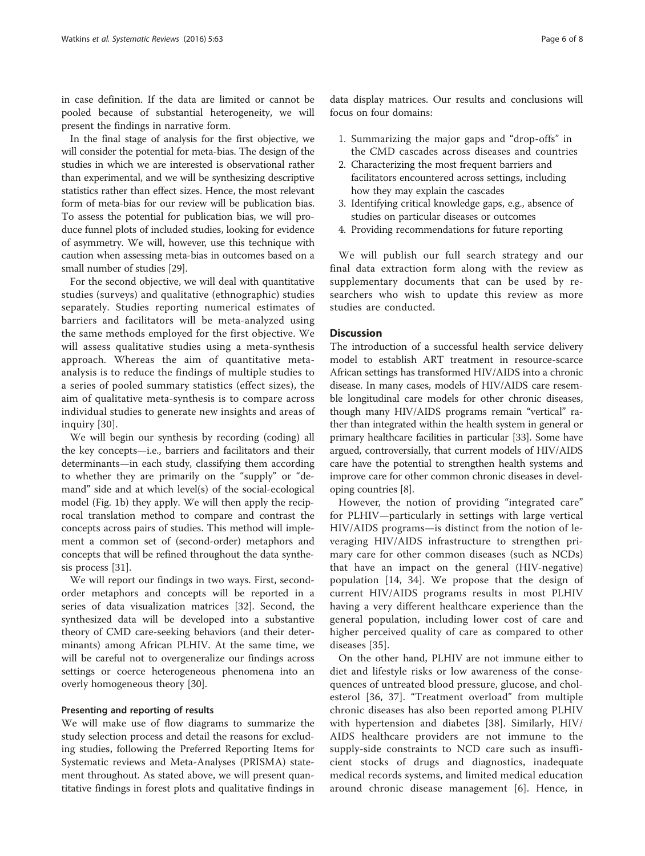in case definition. If the data are limited or cannot be pooled because of substantial heterogeneity, we will present the findings in narrative form.

In the final stage of analysis for the first objective, we will consider the potential for meta-bias. The design of the studies in which we are interested is observational rather than experimental, and we will be synthesizing descriptive statistics rather than effect sizes. Hence, the most relevant form of meta-bias for our review will be publication bias. To assess the potential for publication bias, we will produce funnel plots of included studies, looking for evidence of asymmetry. We will, however, use this technique with caution when assessing meta-bias in outcomes based on a small number of studies [\[29\]](#page-7-0).

For the second objective, we will deal with quantitative studies (surveys) and qualitative (ethnographic) studies separately. Studies reporting numerical estimates of barriers and facilitators will be meta-analyzed using the same methods employed for the first objective. We will assess qualitative studies using a meta-synthesis approach. Whereas the aim of quantitative metaanalysis is to reduce the findings of multiple studies to a series of pooled summary statistics (effect sizes), the aim of qualitative meta-synthesis is to compare across individual studies to generate new insights and areas of inquiry [[30](#page-7-0)].

We will begin our synthesis by recording (coding) all the key concepts—i.e., barriers and facilitators and their determinants—in each study, classifying them according to whether they are primarily on the "supply" or "demand" side and at which level(s) of the social-ecological model (Fig. [1b\)](#page-2-0) they apply. We will then apply the reciprocal translation method to compare and contrast the concepts across pairs of studies. This method will implement a common set of (second-order) metaphors and concepts that will be refined throughout the data synthesis process [\[31](#page-7-0)].

We will report our findings in two ways. First, secondorder metaphors and concepts will be reported in a series of data visualization matrices [[32\]](#page-7-0). Second, the synthesized data will be developed into a substantive theory of CMD care-seeking behaviors (and their determinants) among African PLHIV. At the same time, we will be careful not to overgeneralize our findings across settings or coerce heterogeneous phenomena into an overly homogeneous theory [\[30](#page-7-0)].

#### Presenting and reporting of results

We will make use of flow diagrams to summarize the study selection process and detail the reasons for excluding studies, following the Preferred Reporting Items for Systematic reviews and Meta-Analyses (PRISMA) statement throughout. As stated above, we will present quantitative findings in forest plots and qualitative findings in data display matrices. Our results and conclusions will focus on four domains:

- 1. Summarizing the major gaps and "drop-offs" in the CMD cascades across diseases and countries
- 2. Characterizing the most frequent barriers and facilitators encountered across settings, including how they may explain the cascades
- 3. Identifying critical knowledge gaps, e.g., absence of studies on particular diseases or outcomes
- 4. Providing recommendations for future reporting

We will publish our full search strategy and our final data extraction form along with the review as supplementary documents that can be used by researchers who wish to update this review as more studies are conducted.

#### **Discussion**

The introduction of a successful health service delivery model to establish ART treatment in resource-scarce African settings has transformed HIV/AIDS into a chronic disease. In many cases, models of HIV/AIDS care resemble longitudinal care models for other chronic diseases, though many HIV/AIDS programs remain "vertical" rather than integrated within the health system in general or primary healthcare facilities in particular [\[33\]](#page-7-0). Some have argued, controversially, that current models of HIV/AIDS care have the potential to strengthen health systems and improve care for other common chronic diseases in developing countries [[8\]](#page-7-0).

However, the notion of providing "integrated care" for PLHIV—particularly in settings with large vertical HIV/AIDS programs—is distinct from the notion of leveraging HIV/AIDS infrastructure to strengthen primary care for other common diseases (such as NCDs) that have an impact on the general (HIV-negative) population [[14](#page-7-0), [34\]](#page-7-0). We propose that the design of current HIV/AIDS programs results in most PLHIV having a very different healthcare experience than the general population, including lower cost of care and higher perceived quality of care as compared to other diseases [[35](#page-7-0)].

On the other hand, PLHIV are not immune either to diet and lifestyle risks or low awareness of the consequences of untreated blood pressure, glucose, and cholesterol [\[36](#page-7-0), [37\]](#page-7-0). "Treatment overload" from multiple chronic diseases has also been reported among PLHIV with hypertension and diabetes [\[38\]](#page-7-0). Similarly, HIV/ AIDS healthcare providers are not immune to the supply-side constraints to NCD care such as insufficient stocks of drugs and diagnostics, inadequate medical records systems, and limited medical education around chronic disease management [\[6](#page-6-0)]. Hence, in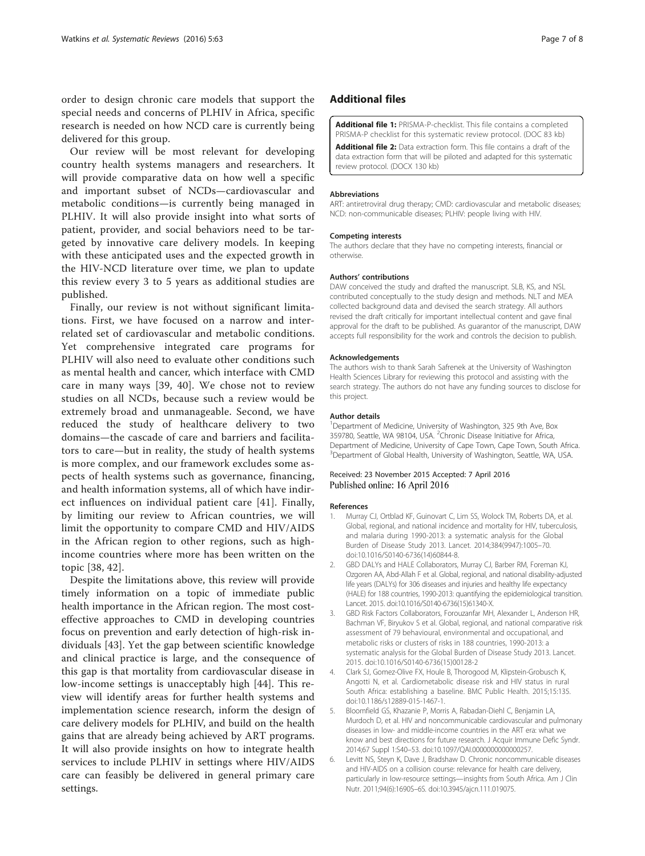<span id="page-6-0"></span>order to design chronic care models that support the special needs and concerns of PLHIV in Africa, specific research is needed on how NCD care is currently being delivered for this group.

Our review will be most relevant for developing country health systems managers and researchers. It will provide comparative data on how well a specific and important subset of NCDs—cardiovascular and metabolic conditions—is currently being managed in PLHIV. It will also provide insight into what sorts of patient, provider, and social behaviors need to be targeted by innovative care delivery models. In keeping with these anticipated uses and the expected growth in the HIV-NCD literature over time, we plan to update this review every 3 to 5 years as additional studies are published.

Finally, our review is not without significant limitations. First, we have focused on a narrow and interrelated set of cardiovascular and metabolic conditions. Yet comprehensive integrated care programs for PLHIV will also need to evaluate other conditions such as mental health and cancer, which interface with CMD care in many ways [[39, 40\]](#page-7-0). We chose not to review studies on all NCDs, because such a review would be extremely broad and unmanageable. Second, we have reduced the study of healthcare delivery to two domains—the cascade of care and barriers and facilitators to care—but in reality, the study of health systems is more complex, and our framework excludes some aspects of health systems such as governance, financing, and health information systems, all of which have indirect influences on individual patient care [\[41](#page-7-0)]. Finally, by limiting our review to African countries, we will limit the opportunity to compare CMD and HIV/AIDS in the African region to other regions, such as highincome countries where more has been written on the topic [[38](#page-7-0), [42](#page-7-0)].

Despite the limitations above, this review will provide timely information on a topic of immediate public health importance in the African region. The most costeffective approaches to CMD in developing countries focus on prevention and early detection of high-risk individuals [[43\]](#page-7-0). Yet the gap between scientific knowledge and clinical practice is large, and the consequence of this gap is that mortality from cardiovascular disease in low-income settings is unacceptably high [[44\]](#page-7-0). This review will identify areas for further health systems and implementation science research, inform the design of care delivery models for PLHIV, and build on the health gains that are already being achieved by ART programs. It will also provide insights on how to integrate health services to include PLHIV in settings where HIV/AIDS care can feasibly be delivered in general primary care settings.

# Additional files

[Additional file 1:](dx.doi.org/10.1186/s13643-016-0241-5) PRISMA-P-checklist. This file contains a completed PRISMA-P checklist for this systematic review protocol. (DOC 83 kb)

[Additional file 2:](dx.doi.org/10.1186/s13643-016-0241-5) Data extraction form. This file contains a draft of the data extraction form that will be piloted and adapted for this systematic review protocol. (DOCX 130 kb)

#### Abbreviations

ART: antiretroviral drug therapy; CMD: cardiovascular and metabolic diseases; NCD: non-communicable diseases; PLHIV: people living with HIV.

#### Competing interests

The authors declare that they have no competing interests, financial or otherwise.

#### Authors' contributions

DAW conceived the study and drafted the manuscript. SLB, KS, and NSL contributed conceptually to the study design and methods. NLT and MEA collected background data and devised the search strategy. All authors revised the draft critically for important intellectual content and gave final approval for the draft to be published. As guarantor of the manuscript, DAW accepts full responsibility for the work and controls the decision to publish.

#### Acknowledgements

The authors wish to thank Sarah Safrenek at the University of Washington Health Sciences Library for reviewing this protocol and assisting with the search strategy. The authors do not have any funding sources to disclose for this project.

#### Author details

<sup>1</sup>Department of Medicine, University of Washington, 325 9th Ave, Box 359780, Seattle, WA 98104, USA. <sup>2</sup>Chronic Disease Initiative for Africa Department of Medicine, University of Cape Town, Cape Town, South Africa. <sup>3</sup> Department of Global Health, University of Washington, Seattle, WA, USA

#### Received: 23 November 2015 Accepted: 7 April 2016 Published online: 16 April 2016

#### References

- 1. Murray CJ, Ortblad KF, Guinovart C, Lim SS, Wolock TM, Roberts DA, et al. Global, regional, and national incidence and mortality for HIV, tuberculosis, and malaria during 1990-2013: a systematic analysis for the Global Burden of Disease Study 2013. Lancet. 2014;384(9947):1005–70. doi[:10.1016/S0140-6736\(14\)60844-8.](http://dx.doi.org/10.1016/S0140-6736(14)60844-8)
- 2. GBD DALYs and HALE Collaborators, Murray CJ, Barber RM, Foreman KJ, Ozgoren AA, Abd-Allah F et al. Global, regional, and national disability-adjusted life years (DALYs) for 306 diseases and injuries and healthy life expectancy (HALE) for 188 countries, 1990-2013: quantifying the epidemiological transition. Lancet. 2015. doi[:10.1016/S0140-6736\(15\)61340-X.](http://dx.doi.org/10.1016/S0140-6736(15)61340-X)
- 3. GBD Risk Factors Collaborators, Forouzanfar MH, Alexander L, Anderson HR, Bachman VF, Biryukov S et al. Global, regional, and national comparative risk assessment of 79 behavioural, environmental and occupational, and metabolic risks or clusters of risks in 188 countries, 1990-2013: a systematic analysis for the Global Burden of Disease Study 2013. Lancet. 2015. doi:10.1016/S0140-6736(15)00128-2
- 4. Clark SJ, Gomez-Olive FX, Houle B, Thorogood M, Klipstein-Grobusch K, Angotti N, et al. Cardiometabolic disease risk and HIV status in rural South Africa: establishing a baseline. BMC Public Health. 2015;15:135. doi[:10.1186/s12889-015-1467-1.](http://dx.doi.org/10.1186/s12889-015-1467-1)
- 5. Bloomfield GS, Khazanie P, Morris A, Rabadan-Diehl C, Benjamin LA, Murdoch D, et al. HIV and noncommunicable cardiovascular and pulmonary diseases in low- and middle-income countries in the ART era: what we know and best directions for future research. J Acquir Immune Defic Syndr. 2014;67 Suppl 1:S40–53. doi:[10.1097/QAI.0000000000000257.](http://dx.doi.org/10.1097/QAI.0000000000000257)
- 6. Levitt NS, Steyn K, Dave J, Bradshaw D. Chronic noncommunicable diseases and HIV-AIDS on a collision course: relevance for health care delivery, particularly in low-resource settings—insights from South Africa. Am J Clin Nutr. 2011;94(6):1690S–6S. doi[:10.3945/ajcn.111.019075](http://dx.doi.org/10.3945/ajcn.111.019075).